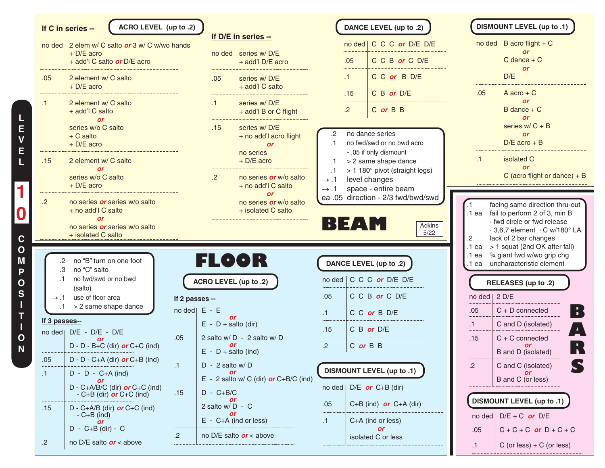|               | ACRO LEVEL (up to .2)<br>If C in series --                                                 |                                  |                             |                                                                                 |                                            |                | DANCE LEVEL (up to .2)                                                  |                       | DISMOUNT LEVEL (up to .1)                                                                                    |
|---------------|--------------------------------------------------------------------------------------------|----------------------------------|-----------------------------|---------------------------------------------------------------------------------|--------------------------------------------|----------------|-------------------------------------------------------------------------|-----------------------|--------------------------------------------------------------------------------------------------------------|
|               | no ded 2 elem w/ C salto or 3 w/ C w/wo hands<br>+ D/E acro<br>+ add'l C salto or D/E acro |                                  |                             | If D/E in series --<br>no ded   series w/D/E<br>+ add'l D/E acro                |                                            | .05            | no ded   C C C or D/E D/E<br>C C B or C D/E                             |                       | no ded   B acro flight + $C$<br><b>or</b><br>$C$ dance $+ C$                                                 |
| .05           | 2 element w/ C salto<br>$+$ D/E acro                                                       |                                  | .05                         | series w/D/E<br>+ add'l C salto                                                 |                                            | .1<br>.15      | C C or B D/E<br>C B or D/E                                              | .05                   | <b>or</b><br>D/E<br>A acro $+ C$                                                                             |
| $\cdot$ 1     | 2 element w/ C salto<br>+ add'l C salto<br><b>or</b>                                       |                                  | $\cdot$ 1                   | series w/D/E<br>+ add'l B or C flight                                           |                                            | .<br>$\cdot$   | C or B B                                                                |                       | <b>or</b><br>$B$ dance $+ C$<br><b>or</b>                                                                    |
|               | series w/o C salto<br>$+ C$ salto<br>$+$ D/E acro                                          |                                  | .15                         | series w/D/E<br>+ no add'l acro flight<br><b>or</b><br>no series                | .2<br>$\cdot$ 1                            |                | no dance series<br>no fwd/swd or no bwd acro<br>- .05 if only dismount  |                       | series $w/C + B$<br><b>or</b><br>$D/E$ acro + B                                                              |
| .15           | 2 element w/ C salto<br><b>or</b><br>series w/o C salto                                    |                                  | $\cdot$ .2                  | $+$ D/E acro<br>no series or w/o salto                                          | $\cdot$ 1<br>$\cdot$ 1<br>$\rightarrow .1$ |                | > 2 same shape dance<br>> 1 180° pivot (straight legs)<br>level changes | .1                    | isolated C<br><b>or</b><br>C (acro flight or dance) $+ B$                                                    |
| $\cdot$       | $+$ D/E acro<br>no series or series w/o salto<br>+ no add'l C salto                        |                                  |                             | + no add'l C salto<br><b>or</b><br>no series or w/o salto<br>+ isolated C salto | $\rightarrow .1$                           |                | space - entire beam<br>ea .05 direction - 2/3 fwd/bwd/swd               | .1 ea                 | facing same direction thru-out<br>fail to perform 2 of 3, min B                                              |
|               | <b>or</b><br>no series or series w/o salto<br>+ isolated C salto                           |                                  |                             |                                                                                 |                                            | ▐░▌▆▛▁▜▕░▏▏    | Adkins<br>5/22                                                          | $.2\,$                | · fwd circle or fwd release<br>$\cdot$ 3,6,7 element $\cdot$ C w/180 $^{\circ}$ LA<br>lack of 2 bar changes  |
|               | .2 no "B" turn on one foot<br>.3 no "C" salto                                              |                                  |                             | FLOOR                                                                           |                                            |                | DANCE LEVEL (up to .2)                                                  |                       | .1 ea $>$ 1 squat (2nd OK after fall)<br>.1 ea 3/4 giant fwd w/wo grip chg<br>.1 ea uncharacteristic element |
| $\cdot$ 1     | no fwd/swd or no bwd<br>(salto)                                                            |                                  |                             | ACRO LEVEL (up to .2)                                                           |                                            |                | no ded $\mid$ C C C or D/E D/E                                          |                       | RELEASES (up to .2)                                                                                          |
|               | $\rightarrow$ .1 use of floor area<br>$.1 \t > 2$ same shape dance                         | If 2 passes --<br>no ded   E - E |                             |                                                                                 | .05 <sub>1</sub>                           |                | C C B or C D/E                                                          | no ded   2 D/E<br>.05 | $\frac{1}{2}$<br>$C + D$ connected                                                                           |
| If 3 passes-- |                                                                                            |                                  | or<br>$E - D +$ salto (dir) |                                                                                 | .1<br>.                                    |                | C C or B D/E                                                            | .1                    | C and D (isolated)                                                                                           |
|               | no ded   D/E - D/E - D/E<br><b>or</b><br>$D - D - B + C$ (dir) or $C + C$ (ind)            | .05                              | or<br>$E - D +$ salto (ind) | 2 salto w/ D - 2 salto w/ D                                                     | .15<br>$.2\overline{ }$                    | $C$ or $B$ $B$ | $C$ B or $D/E$                                                          | .15                   | $C + C$ connected<br>B and D (isolated)                                                                      |
| .05<br>.1     | $D - D - C + A$ (dir) or $C + B$ (ind)<br>$D - D - C + A$ (ind)                            | .1                               | $D - 2$ salto w/D           | $E - 2$ salto w/ C (dir) or C+B/C (ind)                                         |                                            |                | <b>DISMOUNT LEVEL (up to .1)</b>                                        | .2                    | C and C (isolated)<br>B and C (or less)                                                                      |
|               | $D - C + A/B/C$ (dir) or $C + C$ (ind)<br>- C+B (dir) $or C+C$ (ind)                       | .15                              | $D - C + B/C$               |                                                                                 | no ded                                     |                | $D/E$ or $C+B$ (dir)                                                    |                       | <b>DISMOUNT LEVEL (up to .1)</b>                                                                             |
| .15           | $D - C + A/B$ (dir) or $C + C$ (ind)<br>$-C+B$ (ind)                                       |                                  | 2 salto w/D - C             | $E - C + A$ (ind or less)                                                       | .05<br>$\cdot$ 1                           |                | $C+B$ (ind) or $C+A$ (dir)<br>C+A (ind or less)                         | no ded                | $D/E + C$ or $D/E$                                                                                           |
| .2            | <b>or</b><br>$D - C + B$ (dir) - C<br>no D/E salto $or <$ above                            | $\cdot$                          |                             | no D/E salto $or$ < above                                                       |                                            |                | <b>or</b><br>isolated C or less                                         | .05                   | $C + C + C$ or $D + C + C$                                                                                   |
|               |                                                                                            |                                  |                             |                                                                                 |                                            |                |                                                                         | $\cdot$ 1             | C (or less) $+ C$ (or less)                                                                                  |

**E L 1 0 C O M P O S I T I**

> **O N**

**L E V**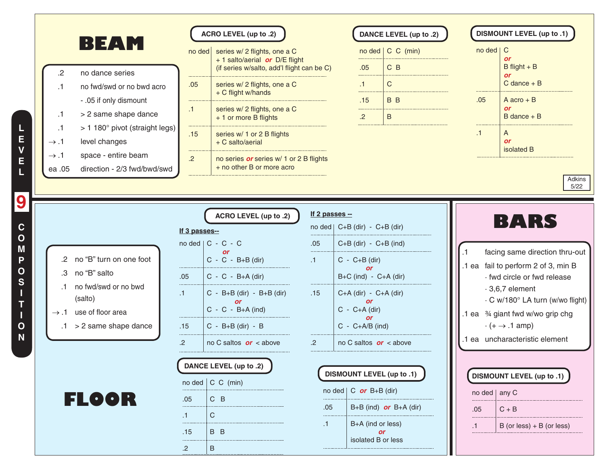

**E V E L 9 C O M P O S I T I O N**

**L**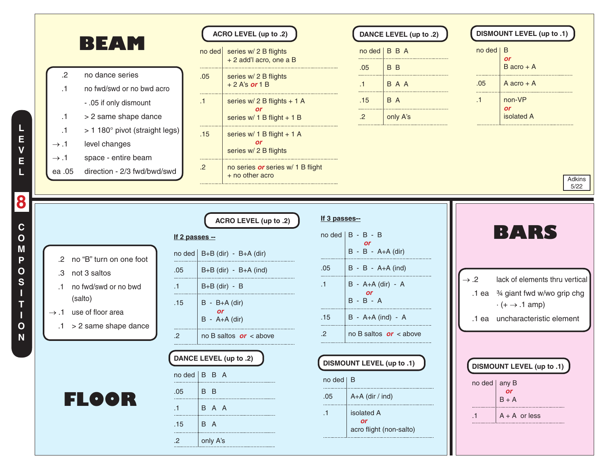|                                                                                  |                        | ACRO LEVEL (up to .2)                                                    |                                    |                   | DANCE LEVEL (up to .2)                     |                  |                | <b>DISMOUNT LEVEL (up to .1)</b>                                                                                 |
|----------------------------------------------------------------------------------|------------------------|--------------------------------------------------------------------------|------------------------------------|-------------------|--------------------------------------------|------------------|----------------|------------------------------------------------------------------------------------------------------------------|
| BEAM                                                                             |                        | $no$ ded<br>series w/ 2 B flights<br>+ 2 add'l acro, one a B             |                                    |                   | nod   B B A                                |                  | $no$ ded $ B$  | <b>or</b>                                                                                                        |
| no dance series<br>.2<br>no fwd/swd or no bwd acro<br>$\cdot$ 1                  |                        | .05<br>series w/ 2 B flights<br>$+2$ A's or 1 B                          | .05<br>.1                          |                   | B B<br>B A A                               |                  | .05            | $B \text{ acro} + A$<br>$A \text{ acro} + A$                                                                     |
| - .05 if only dismount<br>> 2 same shape dance<br>$\cdot$ 1                      | $\cdot$ 1              | series $w/2$ B flights + 1 A<br><b>or</b><br>series $w/1$ B flight + 1 B | .15<br>.<br>$.2\overline{.}$       | .                 | B A<br>only A's                            |                  | <br>$\cdot$ 1  | non-VP<br><b>or</b><br>isolated A                                                                                |
| > 1 180° pivot (straight legs)<br>$\cdot$ 1<br>level changes<br>$\rightarrow .1$ |                        | .15<br>series w/ 1 B flight + 1 A<br><b>or</b><br>series w/ 2 B flights  |                                    |                   |                                            |                  |                |                                                                                                                  |
| space - entire beam<br>$\rightarrow .1$<br>direction - 2/3 fwd/bwd/swd<br>ea .05 | $.2\overline{ }$       | no series or series w/ 1 B flight<br>+ no other acro                     |                                    |                   |                                            |                  |                | Adkins<br>5/22                                                                                                   |
| .2 no "B" turn on one foot                                                       | If 2 passes --         | ACRO LEVEL (up to .2)<br>no ded   $B+B$ (dir) - $B+A$ (dir)              | If 3 passes--<br>$nodel$ B - B - B | or                | $B - B - A+A$ (dir)                        |                  |                | BARS                                                                                                             |
| .3 not 3 saltos<br>no fwd/swd or no bwd<br>$\cdot$ 1                             | .05<br>.1 <sub>1</sub> | $B+B$ (dir) - $B+A$ (ind)<br>$B+B$ (dir) - B                             | .05<br>$\cdot$ 1                   |                   | $B - B - A + A$ (ind)<br>B - A+A (dir) - A | $\rightarrow .2$ |                | lack of elements thru vertical                                                                                   |
| (salto)<br>$\rightarrow$ .1 use of floor area                                    | .15                    | $B - B+A$ (dir)<br>or.<br>$B - A+A$ (dir)                                | $B - B - A$<br>.15                 | <b>or</b>         | B - A+A (ind) - A                          |                  |                | .1 ea <sup>3/4</sup> giant fwd w/wo grip chg<br>$\cdot (+ \rightarrow .1$ amp)<br>.1 ea uncharacteristic element |
| $.1 > 2$ same shape dance                                                        | .2                     | no B saltos $or <$ above                                                 | $\cdot$                            |                   | no B saltos $or <$ above                   |                  |                |                                                                                                                  |
|                                                                                  |                        | DANCE LEVEL (up to .2)                                                   | DISMOUNT LEVEL (up to .1)          |                   |                                            |                  |                | <b>DISMOUNT LEVEL (up to .1)</b>                                                                                 |
|                                                                                  | $n \cdot$ ded   B B A  |                                                                          | $no$ ded $ B$                      |                   |                                            |                  | no ded   any B |                                                                                                                  |
| <b>FLOOR</b>                                                                     | .05                    | B B                                                                      | .05                                | $A+A$ (dir / ind) |                                            |                  |                | <b>or</b><br>$B + A$                                                                                             |
|                                                                                  | .1.                    | B A A                                                                    | isolated A<br>.1                   |                   |                                            |                  | $\cdot$ 1      | $A + A$ or less                                                                                                  |
|                                                                                  |                        |                                                                          | <b>or</b>                          |                   |                                            |                  |                |                                                                                                                  |
|                                                                                  | .15                    | B A<br>only A's                                                          |                                    |                   | acro flight (non-salto)                    |                  |                |                                                                                                                  |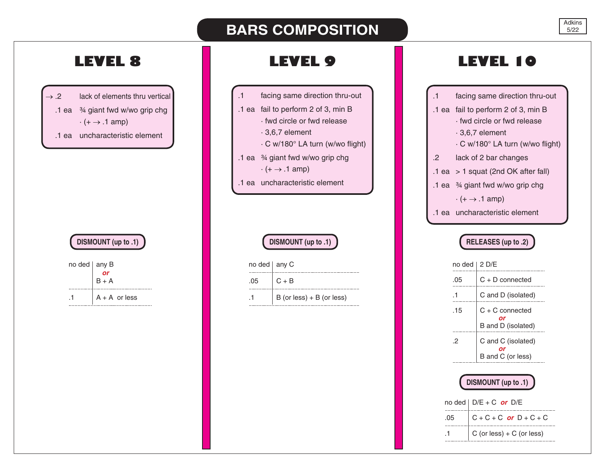# **BARS COMPOSITION**

 $\rightarrow$  .2 lack of elements thru vertical .1 ea ¾ giant fwd w/wo grip chg  $\cdot (+ \rightarrow .1 \text{ amp})$ .1 ea uncharacteristic element

# **DISMOUNT (up to .1)**

| no ded any B |                    |
|--------------|--------------------|
|              | $\frac{1}{\alpha}$ |
|              | $B + A$            |
|              | $A + A$ or less    |
|              |                    |

- .1 facing same direction thru-out
- .1 ea fail to perform 2 of 3, min B
	- · fwd circle or fwd release
	- · 3,6,7 element
	- · C w/180° LA turn (w/wo flight)
- .1 ea ¾ giant fwd w/wo grip chg
	- $\cdot (+ \rightarrow .1 \text{ amp})$
- .1 ea uncharacteristic element

# **DISMOUNT (up to .1)**

| no ded $ $ any C |                             |
|------------------|-----------------------------|
| 05               | $C + B$                     |
|                  | $B$ (or less) + B (or less) |
|                  |                             |

# **LEVEL 8 LEVEL 9 LEVEL 10**

| .1      | facing same direction thru-out              |
|---------|---------------------------------------------|
|         | .1 ea fail to perform 2 of 3, min B         |
|         | fwd circle or fwd release                   |
|         | $.3,6,7$ element                            |
|         | ⋅ C w/180° LA turn (w/wo flight)            |
| $\cdot$ | lack of 2 bar changes                       |
|         | $.1$ ea $> 1$ squat (2nd OK after fall)     |
|         | .1 ea $\frac{3}{4}$ giant fwd w/wo grip chg |
|         | $\cdot (+ \rightarrow .1$ amp)              |
|         | .1 ea uncharacteristic element              |
|         |                                             |

# **RELEASES (up to .2)**

| no ded | 2 D/F                                         |
|--------|-----------------------------------------------|
| .05    | $C + D$ connected                             |
| .1     | C and D (isolated)                            |
| .15    | $C + C$ connected<br>Ωr<br>B and D (isolated) |
| 2      | C and C (isolated)<br>B and C (or less)       |

# **DISMOUNT (up to .1)**

|         | no ded $\mid$ D/E + C or D/E   |
|---------|--------------------------------|
| $.05 -$ | $\vert$ C + C + C or D + C + C |
|         | $C$ (or less) + $C$ (or less)  |
|         |                                |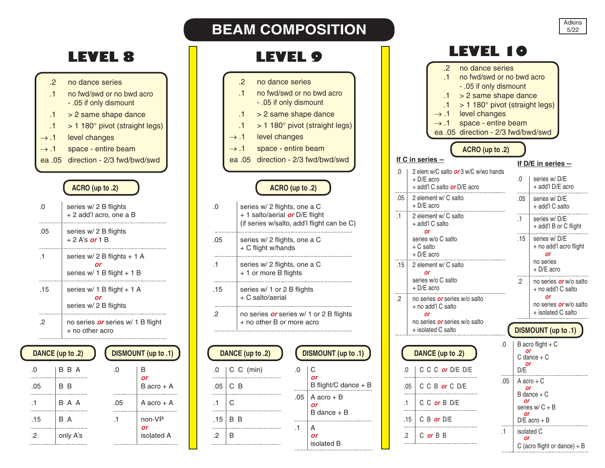

|          | DANCE (up to .2) |          | DISMOUNT (up to .1) |
|----------|------------------|----------|---------------------|
| $\Omega$ | B B A            | $\Omega$ | В<br>or             |
| .05      | B B              |          | $B$ acro + A        |
| .1       | B A A            | .05      | A acro $+$ A        |
| .15      | B A              | .1       | non-VP<br>or        |
| 2        | only A's         |          | isolated A          |

| <b>LEVEL 8</b>                                                                                                                                                                                          |           |                     |           | <b>LEVEL 9</b>                                                                                                                                                                                                                |     |                                                             |                  | LEVEL 10                                                                                                                                                                                                                                                                                                            |                   |
|---------------------------------------------------------------------------------------------------------------------------------------------------------------------------------------------------------|-----------|---------------------|-----------|-------------------------------------------------------------------------------------------------------------------------------------------------------------------------------------------------------------------------------|-----|-------------------------------------------------------------|------------------|---------------------------------------------------------------------------------------------------------------------------------------------------------------------------------------------------------------------------------------------------------------------------------------------------------------------|-------------------|
| no dance series<br>no fwd/swd or no bwd acro<br>- .05 if only dismount<br>> 2 same shape dance<br>> 1 180° pivot (straight legs)<br>level changes<br>space - entire beam<br>direction - 2/3 fwd/bwd/swd |           |                     |           | .2<br>no dance series<br>$\cdot$ 1<br>- .05 if only dismount<br>> 2 same shape dance<br>$\cdot$ 1<br>.1<br>level changes<br>$\rightarrow .1$<br>space - entire beam<br>$\rightarrow .1$<br>ea .05 direction - 2/3 fwd/bwd/swd |     | no fwd/swd or no bwd acro<br>> 1 180° pivot (straight legs) |                  | $\cdot$ .2<br>no dance series<br>$\mathbf{1}$<br>no fwd/swd or no bwd<br>- .05 if only dismount<br>> 2 same shape dar<br>.1<br>> 1 180° pivot (straig<br>.1<br>level changes<br>$\rightarrow .1$<br>space - entire beam<br>$\rightarrow .1$<br>ea .05 direction - 2/3 fwd/b<br>ACRO (up to .2)<br>If C in series -- |                   |
| ACRO (up to .2)                                                                                                                                                                                         |           |                     |           | ACRO (up to .2)                                                                                                                                                                                                               |     |                                                             | $\Omega$         | 2 elem w/C salto or 3 w/C w/wo hands<br>+ D/E acro<br>+ add'l C salto <b>or</b> D/E acro                                                                                                                                                                                                                            | If $\Gamma$<br>.0 |
| series w/ 2 B flights<br>+2 add'l acro, one a B                                                                                                                                                         |           |                     | .0        | series w/ 2 flights, one a C<br>+ 1 salto/aerial or D/E flight<br>(if series w/salto, add'l flight can be C)                                                                                                                  |     |                                                             | .05<br>$\cdot$ 1 | 2 element w/ C salto<br>+ D/E acro<br>2 element w/ C salto<br>+ add'l C salto                                                                                                                                                                                                                                       | .05<br>.1         |
| series w/ 2 B flights<br>+ 2 A's or 1 B                                                                                                                                                                 |           |                     | .05       | series w/ 2 flights, one a C<br>+ C flight w/hands                                                                                                                                                                            |     |                                                             |                  | <b>or</b><br>series w/o C salto<br>$+ C$ salto<br>$+$ D/E acro                                                                                                                                                                                                                                                      | .15               |
| series w/ 2 B flights + 1 A<br>or<br>series w/ 1 B flight + 1 B                                                                                                                                         |           |                     | $\cdot$ 1 | series w/ 2 flights, one a C<br>+ 1 or more B flights                                                                                                                                                                         |     |                                                             | .15              | 2 element w/ C salto<br><b>or</b><br>series w/o C salto                                                                                                                                                                                                                                                             | $\cdot$ 2         |
| series w/ 1 B flight + 1 A<br>or<br>series w/ 2 B flights                                                                                                                                               |           |                     | .15<br>.2 | series w/ 1 or 2 B flights<br>$+ C$ salto/aerial<br>no series or series w/ 1 or 2 B flights                                                                                                                                   |     |                                                             | $\cdot$          | + D/E acro<br>no series or series w/o salto<br>+ no add'l C salto<br>or                                                                                                                                                                                                                                             |                   |
| no series <i>or</i> series w/ 1 B flight<br>+ no other acro                                                                                                                                             |           |                     |           | + no other B or more acro                                                                                                                                                                                                     |     |                                                             |                  | no series or series w/o salto<br>+ isolated C salto                                                                                                                                                                                                                                                                 | <b>DISI</b>       |
| to .2)                                                                                                                                                                                                  |           | DISMOUNT (up to .1) |           | DANCE (up to .2)                                                                                                                                                                                                              |     | DISMOUNT (up to .1)                                         |                  | 0.<br>DANCE (up to .2)                                                                                                                                                                                                                                                                                              | B a<br>C di       |
| B A                                                                                                                                                                                                     | .0        | B                   | .0        | $C$ $C$ (min)                                                                                                                                                                                                                 | .0  | C                                                           | $\Omega$         | C C C or D/E D/E                                                                                                                                                                                                                                                                                                    | D/E               |
| B                                                                                                                                                                                                       |           | or<br>$B$ acro + A  | .05       | C B                                                                                                                                                                                                                           |     | B flight/C dance $+ B$                                      |                  | .05<br>C C B or C D/E<br>.05                                                                                                                                                                                                                                                                                        | A a               |
| A A                                                                                                                                                                                                     | .05       | A acro + A          | $\cdot$ 1 | C                                                                                                                                                                                                                             | .05 | $A$ acro + $B$<br><b>or</b>                                 | $\cdot$ 1        | C C or B D/E                                                                                                                                                                                                                                                                                                        | B da<br>seri      |
| A                                                                                                                                                                                                       | $\cdot$ 1 | non-VP              | .15       | B B                                                                                                                                                                                                                           |     | $B$ dance $+ B$                                             |                  | .15 $\mid$ C B or D/E                                                                                                                                                                                                                                                                                               | D/E               |

**BEAM COMPOSITION** 

 $.1$  A *or* isolated B

 $.2$  B

 $\cdots$ 

|           |                                               | $\cdot$<br>$\cdot$ 1<br>.1<br>.1<br>$\rightarrow .1$<br>$\rightarrow .1$          | no dance series<br>no fwd/swd or no bwd acro<br>- .05 if only dismount<br>> 2 same shape dance<br>> 1 180° pivot (straight legs)<br>level changes<br>space - entire beam<br>ea .05 direction - 2/3 fwd/bwd/swd |     |                                           |                                                           |  |
|-----------|-----------------------------------------------|-----------------------------------------------------------------------------------|----------------------------------------------------------------------------------------------------------------------------------------------------------------------------------------------------------------|-----|-------------------------------------------|-----------------------------------------------------------|--|
|           |                                               | If C in series --                                                                 | ACRO (up to .2)                                                                                                                                                                                                |     |                                           |                                                           |  |
|           |                                               |                                                                                   |                                                                                                                                                                                                                |     |                                           | If D/E in series --                                       |  |
| .0        |                                               | 2 elem w/C salto or 3 w/C w/wo hands<br>+ D/E acro<br>+ add'l C salto or D/E acro |                                                                                                                                                                                                                |     | .0                                        | series w/D/E<br>+ add'l D/E acro                          |  |
| .05       | 2 element w/ C salto<br>+ D/E acro            |                                                                                   |                                                                                                                                                                                                                |     | .05                                       | series w/D/E<br>+ add'l C salto                           |  |
| $\cdot$ 1 |                                               | 2 element w/ C salto<br>+ add'l C salto<br>or                                     |                                                                                                                                                                                                                |     | .1                                        | series w/D/E<br>+ add'l B or C flight                     |  |
|           | series w/o C salto<br>+ C salto<br>+ D/E acro |                                                                                   |                                                                                                                                                                                                                |     | .15                                       | series w/D/E<br>+ no add'l acro flight<br>or              |  |
| .15       |                                               | 2 element w/ C salto<br>or                                                        |                                                                                                                                                                                                                |     |                                           | no series<br>+ D/E acro                                   |  |
|           |                                               | series w/o C salto<br>+ D/E acro                                                  |                                                                                                                                                                                                                |     | .2                                        | no series <i>or</i> w/o salto<br>+ no add'l C salto<br>or |  |
| .2        |                                               | no series <i>or</i> series w/o salto<br>+ no add'l C salto<br>or                  |                                                                                                                                                                                                                |     |                                           | no series <i>or</i> w/o salto<br>+ isolated C salto       |  |
|           |                                               | no series <i>or</i> series w/o salto<br>+ isolated C salto                        |                                                                                                                                                                                                                |     |                                           | <b>DISMOUNT</b> (up to .1)                                |  |
|           |                                               |                                                                                   |                                                                                                                                                                                                                | .0  |                                           | B acro flight $+ C$                                       |  |
|           |                                               | DANCE (up to .2)                                                                  |                                                                                                                                                                                                                |     | or                                        | C dance + C                                               |  |
| .0        |                                               | C C C or D/E D/E                                                                  |                                                                                                                                                                                                                |     | or<br>D/E                                 |                                                           |  |
|           | .05                                           | C C B or C D/E                                                                    |                                                                                                                                                                                                                | .05 | or                                        | A acro + C                                                |  |
| .1        |                                               | C C or B D/E                                                                      | .                                                                                                                                                                                                              |     | $B$ dance $+ C$<br>or<br>series $w/C + B$ |                                                           |  |
|           | .15                                           | $C$ B or D/E                                                                      |                                                                                                                                                                                                                |     | or                                        | $D/E$ acro + B                                            |  |
| .2        |                                               | C or B B                                                                          |                                                                                                                                                                                                                | .1  | or                                        | isolated C<br>C (acro flight or dance) + $B$              |  |
|           |                                               |                                                                                   |                                                                                                                                                                                                                |     |                                           |                                                           |  |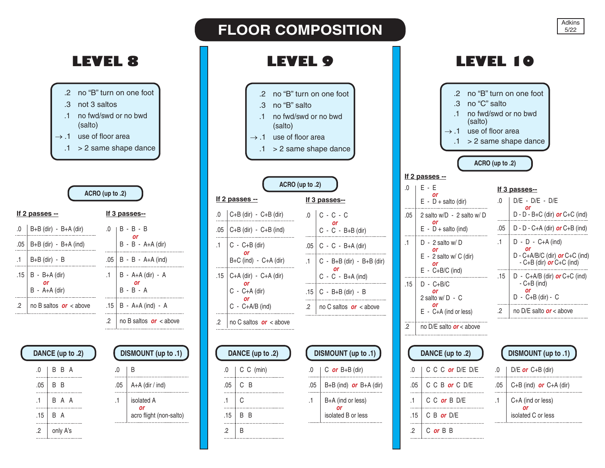# **LEVEL 8 LEVEL 9 LEVEL 10**

- .2 no "B" turn on one foot .3 not 3 saltos .1 no fwd/swd or no bwd
- (salto)
- $\rightarrow$  .1 use of floor area
- $.1$  > 2 same shape dance

|           | ACRO (up to .2)                                    |     |                                    |
|-----------|----------------------------------------------------|-----|------------------------------------|
|           | <u>If 2 passes --</u>                              |     | <u>If 3 passes--</u>               |
| .0<br>.05 | B+B (dir) - B+A (dir)<br>$B+B$ (dir) - $B+A$ (ind) | .0  | B - B - B<br>$B - B - A + A$ (dir) |
|           | B+B (dir) - B                                      | .05 | $B - B - A + A$ (ind)              |
| .15       | $B - B+A$ (dir)<br>$B - A+A$ (dir)                 | .1. | B - A+A (dir) - A<br>$B - B - A$   |
| $\cdot$ 2 | no B saltos $or$ < above                           | .15 | B - A+A (ind) - A                  |
|           |                                                    | .2  | no B saltos $or <$ above           |

# **DANCE (up to .2)**

.0 B B A  $.05$  B B  $\cdots$ .1 B A A  $\overline{a}$  $.15$  B A ä. .2  $\vert$  only A's ...

| DISMOUNT (up to .1) |                                             |  |  |  |  |  |
|---------------------|---------------------------------------------|--|--|--|--|--|
| .0                  | B                                           |  |  |  |  |  |
| .05                 | $A+A$ (dir / ind)                           |  |  |  |  |  |
| .1                  | isolated A<br>Ωľ<br>acro flight (non-salto) |  |  |  |  |  |

|           | 7EI                                                                                                                    |     |                                                 |
|-----------|------------------------------------------------------------------------------------------------------------------------|-----|-------------------------------------------------|
|           | $\overline{2}$<br>.З<br>no "B" salto<br>no fwd/swd or no bwd<br>$\cdot$ 1<br>(salto)<br>use of floor area<br>1<br>.1 . |     | no "B" turn on one foot<br>> 2 same shape dance |
|           | ACRO (up to .2)                                                                                                        |     |                                                 |
|           | <u>If 2 passes --</u>                                                                                                  |     | If 3 passes--                                   |
| .0        | $C+B$ (dir) - $C+B$ (dir)                                                                                              | 0.  | $C - C - C$                                     |
|           | $.05$ $\mid$ C+B (dir) - C+B (ind)                                                                                     |     | $C - C - B + B$ (dir)                           |
| $\cdot$ 1 | $ C - C + B$ (dir)                                                                                                     |     | .05   $C - C - B+A$ (dir)                       |
|           | $B+C$ (ind) - $C+A$ (dir)                                                                                              | .1  | $C - B + B$ (dir) $- B + B$ (dir)               |
|           | .15   C+A (dir) - C+A (dir)                                                                                            |     | $C - C - B+A$ (ind)                             |
|           | or<br>$C - C + A$ (dir)                                                                                                | .15 | $C - B + B$ (dir) $- B$                         |
|           | or<br>$C - C + A/B$ (ind)                                                                                              | .2  | no C saltos $or$ < above                        |
| .2        | no C saltos $or$ < above                                                                                               |     |                                                 |
|           |                                                                                                                        |     |                                                 |

**FLOOR COMPOSITION** 

 $.0 \quad \vert \quad C \quad \text{or} \quad B + B \quad \text{(dir)}$ 

 $.1$  B+A (ind or less) *or* isolated B or less

 $\cdots$ 

.05 B+B (ind) *or* B+A (dir)

**DISMOUNT (up to .1)**

| DANCE (up to .2) |           |  |  |  |
|------------------|-----------|--|--|--|
| .0               | C C (min) |  |  |  |
| .05              | C B       |  |  |  |
| -1               | C         |  |  |  |
| .15              | R R       |  |  |  |
| כי               | R         |  |  |  |

|           | .2<br>no "C" salto<br>.3<br>.1<br>(salto)<br>use of floor area |           | no "B" turn on one foot<br>no fwd/swd or no bwd<br>> 2 same shape dance |  |  |
|-----------|----------------------------------------------------------------|-----------|-------------------------------------------------------------------------|--|--|
|           | ACRO (up to .2)                                                |           |                                                                         |  |  |
| .0        | <u>If 2 passes --</u><br>E - E                                 |           | If 3 passes--                                                           |  |  |
|           | or<br>$E - D +$ salto (dir)                                    | .0        | D/E - D/E - D/E                                                         |  |  |
| .05       | 2 salto w/D - 2 salto w/D                                      |           | or<br>$D - D - B + C$ (dir) or $C + C$ (ind)                            |  |  |
|           | or<br>$E - D +$ salto (ind)                                    | .05       | $D - D - C + A$ (dir) <b>or</b> $C + B$ (ind)                           |  |  |
| $\cdot$ 1 | $D - 2$ salto w/ $D$                                           | $\cdot$ 1 | $D - D - C + A$ (ind)                                                   |  |  |
|           | or<br>$E - 2$ salto w/ C (dir)                                 |           | or<br>D - C+A/B/C (dir) or C+C (ind)                                    |  |  |
|           | or<br>$E - C + B/C$ (ind)                                      |           | - C+B (dir) $or$ C+C (ind)                                              |  |  |
| .15       | $D - C + B/C$                                                  | .15       | D - C+A/B (dir) $or$ C+C (ind)<br>$-C+B$ (ind)                          |  |  |
|           | Οľ<br>2 salto w/ D - C                                         |           | or<br>D - C+B (dir) - C                                                 |  |  |
|           | or<br>E - C+A (ind or less)                                    | .2        | no D/E salto $or$ < above                                               |  |  |

.2 no D/E salto *or* < above

|     | DANCE (up to .2) |
|-----|------------------|
| -0  | C C C or D/E D/E |
| .05 | C C B or C D/E   |
| .1  | C C or B D/E     |
| .15 | C B or D/E       |
|     | C or B B         |

|     | <b>DISMOUNT</b> (up to .1)              |
|-----|-----------------------------------------|
| .0  | $D/E$ or $C+B$ (dir)                    |
| .05 | $C+B$ (ind) or $C+A$ (dir)              |
| .1  | C+A (ind or less)<br>isolated C or less |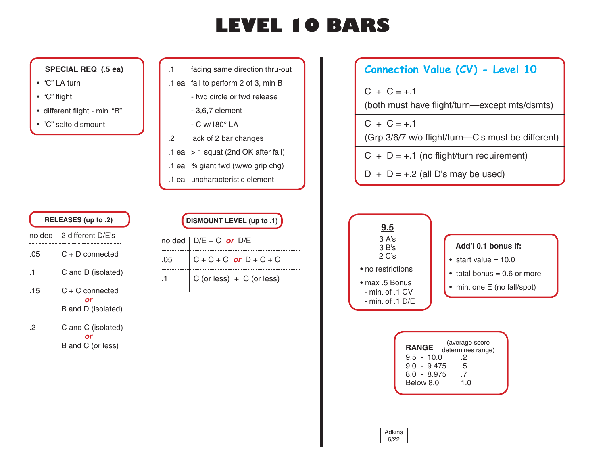# **LEVEL 10 BARS**

# **SPECIAL REQ (.5 ea)**

- "C" LA turn
- "C" flight
- different flight min. "B"
- "C" salto dismount
- .1 facing same direction thru-out
- .1 ea fail to perform 2 of 3, min B
	- fwd circle or fwd release
	- 3,6,7 element
	- C w/180° LA
- .2 lack of 2 bar changes
- .1 ea > 1 squat (2nd OK after fall)
- .1 ea ¾ giant fwd (w/wo grip chg)
- .1 ea uncharacteristic element

| RELEASES (up to .2) |                                         |  |
|---------------------|-----------------------------------------|--|
| no ded              | 2 different D/E's                       |  |
| .05                 | $C + D$ connected                       |  |
| -1                  | C and D (isolated)                      |  |
| .15                 | $C + C$ connected<br>B and D (isolated) |  |
| 2                   | C and C (isolated)<br>B and C (or less) |  |

| DISMOUNT LEVEL (up to .1) |
|---------------------------|

|     | no ded $\vert$ D/E + C or D/E     |
|-----|-----------------------------------|
| .05 |                                   |
| .1  | $\vert$ C (or less) + C (or less) |

# **Connection Value (CV) - Level 10**

 $C + C = +.1$ 

(both must have flight/turn—except mts/dsmts)

 $C + C = +.1$ 

(Grp 3/6/7 w/o flight/turn—C's must be different)

- $C + D = +.1$  (no flight/turn requirement)
- $D + D = +.2$  (all D's may be used)



| <b>RANGE</b>  | (average score    |  |
|---------------|-------------------|--|
|               | determines range) |  |
| $9.5 - 10.0$  | 2                 |  |
| $9.0 - 9.475$ | .5                |  |
| $8.0 - 8.975$ | -7                |  |
| Below 8.0     | 1. $\Omega$       |  |
|               |                   |  |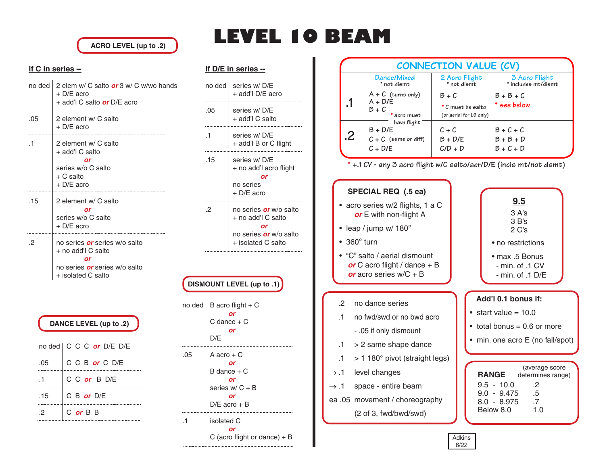**ACRO LEVEL (up to .2)**

### **If C in series --**  $\mathcal{L}$

| no ded l  | 2 elem w/ C salto or 3 w/ C w/wo hands<br>$+$ D/E acro<br>+ add'l C salto <i>or</i> D/E acro                                   |
|-----------|--------------------------------------------------------------------------------------------------------------------------------|
| .05       | 2 element w/ C salto<br>+ D/E acro                                                                                             |
| $\cdot$ 1 | 2 element w/ C salto<br>+ add'l C salto<br>or<br>series w/o C salto<br>+ C salto<br>+ D/E acro                                 |
| .15       | 2 element w/ C salto<br>or<br>series w/o C salto<br>+ D/E acro                                                                 |
| .2        | no series <i>or</i> series w/o salto<br>+ no add'l C salto<br>or<br>no series <i>or</i> series w/o salto<br>+ isolated C salto |

|     | DANCE LEVEL (up to .2)           |
|-----|----------------------------------|
|     | no ded   C C C <i>or</i> D/E D/E |
| .05 | C C B or C D/E                   |
| -1  | C C or B D/E                     |
| .15 | C B or $D/E$                     |
| 2   | C or B B                         |

# **LEVEL 10 BEAM**

### **If D/E in series --**

| no ded | series w/D/E<br>+ add'l D/E acro                                                                                 |
|--------|------------------------------------------------------------------------------------------------------------------|
| .05    | series w/ D/E<br>+ add'l C salto                                                                                 |
| .1     | series w/D/E<br>+ add'l B or C flight                                                                            |
| .15    | series w/D/E<br>+ no add'l acro flight<br>or<br>no series<br>+ D/E acro                                          |
| 2      | no series <i>or</i> w/o salto<br>+ no add'l C salto<br>or<br>no series <i>or</i> w/o salto<br>+ isolated C salto |

## **DISMOUNT LEVEL (up to .1)**

| no ded | B acro flight $+ C$<br>or<br>$C$ dance $+ C$<br>or<br>D/E                         |
|--------|-----------------------------------------------------------------------------------|
| .05    | A acro + C<br>or<br>B dance + C<br>or<br>series $w/C + B$<br>or<br>$D/E$ acro + B |
| .1     | isolated C<br>or<br>C (acro flight or dance) $+ B$                                |

|         |                                                                 | <b>CONNECTION VALUE (CV)</b>                          |                                           |
|---------|-----------------------------------------------------------------|-------------------------------------------------------|-------------------------------------------|
|         | Dance/Mixed<br>* not dismt                                      | 2 Acro Flight<br>* not dismt                          | 3 Acro Flight<br>* includes mt/dismt      |
| $\cdot$ | $A + C$ (turns only)<br>$A + D/E$<br>B + C<br>* acro must       | $B+C$<br>* C must be salto<br>(or aerial for L9 only) | $B + B + C$<br>* see below                |
| .2      | have flight<br>$B + D/E$<br>$C + C$ (same or diff)<br>$C + D/E$ | $C + C$<br>$B + D/E$<br>$C/D + D$                     | $B + C + C$<br>$B + B + D$<br>$B + C + D$ |

**\* +.1 CV - any 3 acro flight w/C salto/aer/D/E (incls mt/not dsmt)**

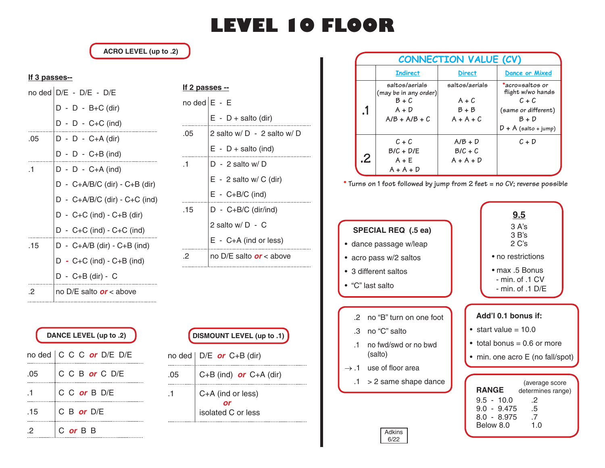# **LEVEL 10 FLOOR**

**ACRO LEVEL (up to .2)**

### **If 3 passes--**

|     | no ded $D/E - D/E - D/E$              |  |  |
|-----|---------------------------------------|--|--|
|     | $D - D - B + C$ (dir)                 |  |  |
|     | $D - D - C + C$ (ind)                 |  |  |
| .05 | D - D - C+A (dir)                     |  |  |
|     | $D - D - C + B$ (ind)                 |  |  |
| .1  | $D - D - C + A$ (ind)                 |  |  |
|     | D - C+A/B/C (dir) - C+B (dir)         |  |  |
|     | $D - C + A/B/C$ (dir) - $C + C$ (ind) |  |  |
|     | $D - C + C$ (ind) - $C + B$ (dir)     |  |  |
|     | D - C+C (ind) - C+C (ind)             |  |  |
| .15 | $D - C + A/B$ (dir) - $C + B$ (ind)   |  |  |
|     | $D - C + C$ (ind) - $C + B$ (ind)     |  |  |
|     | D - C+B (dir) - C                     |  |  |
| 2   | no D/E salto <i>or</i> < above        |  |  |

| no ded $\mathsf{E}$ - $\mathsf{E}$ |                                |
|------------------------------------|--------------------------------|
|                                    | $E - D +$ salto (dir)          |
| .05                                | 2 salto w/ D - 2 salto w/ D    |
|                                    | $E - D +$ salto (ind)          |
| .1                                 | $D - 2$ salto w/D              |
|                                    | $E - 2$ salto w/ C (dir)       |
|                                    | $E - C + B/C$ (ind)            |
| .15                                | $D - C + B/C$ (dir/ind)        |
|                                    | 2 salto w/D - C                |
|                                    | $E - C + A$ (ind or less)      |
| .2                                 | no D/E salto <i>or</i> < above |
|                                    |                                |

**If 2 passes --**

| DANCE LEVEL (up to .2) |                           |  |
|------------------------|---------------------------|--|
|                        | no ded   C C C or D/E D/E |  |
| .05                    | C C B or C D/E            |  |
| -1                     | C C or B D/E              |  |
| .15                    | C B or $D/E$              |  |
|                        | C or B B                  |  |

|     | DISMOUNT LEVEL (up to .1) )             |
|-----|-----------------------------------------|
|     | no ded $\vert$ D/E or C+B (dir)         |
| .05 | C+B (ind) or $C+A$ (dir)                |
|     | C+A (ind or less)<br>isolated C or less |

|         |                                                                                  | <b>CONNECTION VALUE (CV)</b>                        |                                                                                                             |
|---------|----------------------------------------------------------------------------------|-----------------------------------------------------|-------------------------------------------------------------------------------------------------------------|
|         | <b>Indirect</b>                                                                  | <b>Direct</b>                                       | Dance or Mixed                                                                                              |
| $\cdot$ | saltos/aerials<br>(may be in any order)<br>$B + C$<br>$A + D$<br>$A/B + A/B + C$ | saltos/aerials<br>$A + C$<br>$B + B$<br>$A + A + C$ | *acro=saltos or<br>flight w/wo hands<br>$C + C$<br>(same or different)<br>$B + D$<br>$D + A$ (salto + jump) |
| .2      | $C + C$<br>$B/C + D/E$<br>$A + E$<br>$A + A + D$                                 | $A/B + D$<br>$B/C + C$<br>$A + A + D$               | $C + D$                                                                                                     |

**\* Turns on 1 foot followed by jump from 2 feet = no CV; reverse possible**

# **SPECIAL REQ (.5 ea)**

- dance passage w/leap
- acro pass w/2 saltos
- 3 different saltos
- "C" last salto
	- .2 no "B" turn on one foot
	- .3 no "C" salto
	- .1 no fwd/swd or no bwd (salto)
- $\rightarrow$  .1 use of floor area
	- .1 > 2 same shape dance



| 9.5<br>3 A's<br>$3B$ 's<br>$2 C$ 's                     |
|---------------------------------------------------------|
| • no restrictions                                       |
| • max .5 Bonus<br>- min. of .1 CV<br>- min. of $.1$ D/E |
|                                                         |

### **Add'l 0.1 bonus if:**

- $\bullet$  start value = 10.0
- $\bullet$  total bonus = 0.6 or more
- min. one acro E (no fall/spot)

| <b>RANGE</b>  | (average score<br>determines range) |
|---------------|-------------------------------------|
| $9.5 - 10.0$  | .2                                  |
| $9.0 - 9.475$ | .5                                  |
| $8.0 - 8.975$ | .7                                  |
| Below 8.0     | 1.0                                 |
|               |                                     |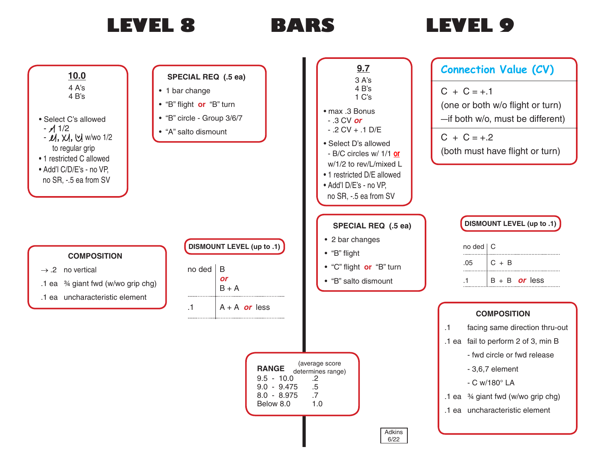

# **BARS**

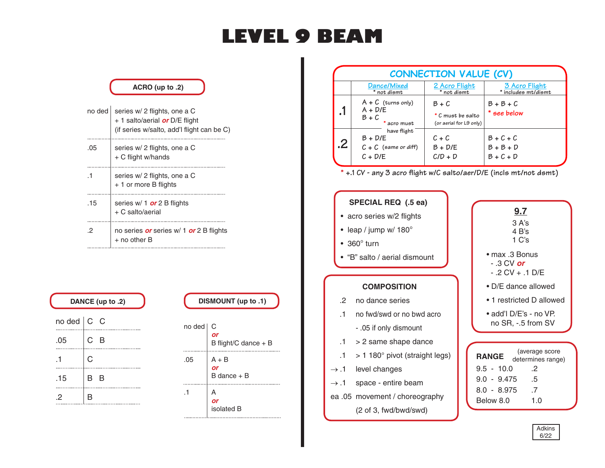# **LEVEL 9 BEAM**

# no ded series w/ 2 flights, one a C + 1 salto/aerial *or* D/E flight (if series w/salto, add'l flight can be C) .05 series w/ 2 flights, one a C + C flight w/hands .1 series w/ 2 flights, one a C + 1 or more B flights .15  $\left|$  series w/ 1 **or** 2 B flights + C salto/aerial .2 no series *or* series w/ 1 *or* 2 B flights + no other B **ACRO (up to .2)**

| DANCE (up to .2)   |     |     |  |
|--------------------|-----|-----|--|
|                    |     |     |  |
| no ded $\vert$ C C |     |     |  |
|                    | C B |     |  |
| .05                |     |     |  |
|                    | C   |     |  |
|                    |     |     |  |
| .15                | В   | - B |  |
| 2                  | R   |     |  |

## **DISMOUNT (up to .1)**



|         |                                                                 | <b>CONNECTION VALUE (CV)</b>                          |                                       |
|---------|-----------------------------------------------------------------|-------------------------------------------------------|---------------------------------------|
|         | Dance/Mixed<br>* not dismt                                      | 2 Acro Flight<br>* not dismt                          | 3 Acro Flight<br>* includes mt/dismt  |
| $\cdot$ | $A + C$ (turns only)<br>$A + D/E$<br>$B+C$<br>* acro must       | $B+C$<br>* C must be salto<br>(or aerial for L9 only) | $B + B + C$<br>* see below            |
| .2      | have flight<br>$B + D/E$<br>$C + C$ (same or diff)<br>$C + D/E$ | $C + C$<br>$B + D/E$<br>$C/D + D$                     | $B+C+C$<br>$B + B + D$<br>$B + C + D$ |

**\* +.1 CV - any 3 acro flight w/C salto/aer/D/E (incls mt/not dsmt)**

### **SPECIAL REQ (.5 ea)** • acro series w/2 flights • leap / jump w/ 180° • 360° turn • "B" salto / aerial dismount **RANGE** 9.5 - 10.0 .2 9.0 - 9.475 .5 8.0 - 8.975 .7  **COMPOSITION** .2 no dance series .1 no fwd/swd or no bwd acro - .05 if only dismount  $.1$  > 2 same shape dance  $.1$  > 1 180 $^{\circ}$  pivot (straight legs)  $\rightarrow$  .1 level changes  $\rightarrow$  .1 space - entire beam **9.7** 3 A's 4 B's  $1 \, \text{C's}$ • max .3 Bonus - .3 CV *or* - .2 CV + .1 D/E • D/E dance allowed • add'l D/E's - no VP. no SR, -.5 from SV

ea .05 movement / choreography (2 of 3, fwd/bwd/swd)

| - .3 CV <i>or</i><br>- 2 CV + .1 D/E                                  |
|-----------------------------------------------------------------------|
| $\bullet$ D/E dance allowed                                           |
| $\bullet$ 1 restricted D allowed                                      |
| • add'l D/E's - no VP.<br>no SR, -.5 from SV                          |
|                                                                       |
| (average score<br><b>RANGE</b><br>determines range)<br>.5 - 10.0<br>2 |

Below 8.0 1.0

| ∩kır |  |
|------|--|
| ÷,   |  |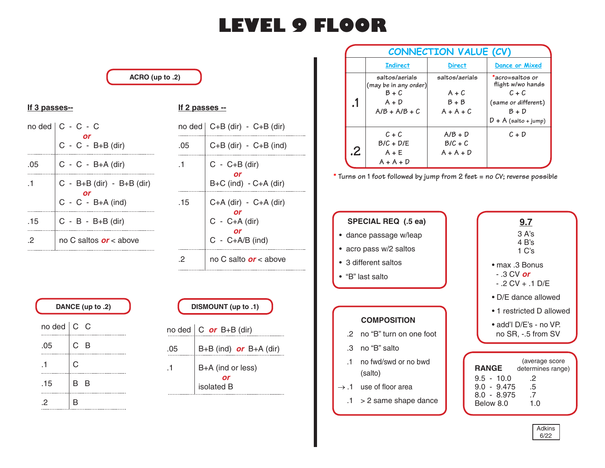# **LEVEL 9 FLOOR**

### **ACRO (up to .2)**

## **If 3 passes--**

| $no$ ded $ $ | $C - C - C$                   |
|--------------|-------------------------------|
|              | $C - C - B + B$ (dir)         |
| .05          | $C - C - B+A$ (dir)           |
| $\mathbf{1}$ | $C - B + B$ (dir) - B+B (dir) |
|              | $C - C - B+A$ (ind)           |
| .15          | $C - B - B + B$ (dir)         |
| 2            | no C saltos <i>or</i> < above |

### **If 2 passes --**

|     | no ded $\vert$ C+B (dir) - C+B (dir)                                  |
|-----|-----------------------------------------------------------------------|
| .05 | $C+B$ (dir) - $C+B$ (ind)                                             |
| .1  | $C - C + B$ (dir)<br>$B+C$ (ind) - $C+A$ (dir)                        |
| .15 | $C+A$ (dir) - $C+A$ (dir)<br>$C - C + A$ (dir)<br>$C - C + A/B$ (ind) |
| 2   | no C salto <i>or</i> < above                                          |

| DANCE (up to .2) |     |     |
|------------------|-----|-----|
| $no$ ded $ $     | C C |     |
| .05              |     | с в |
| -1               | C   |     |
| .15              | B   | -B  |
| 2                |     |     |

| DISMOUNT (up to .1) |                                      |  |  |
|---------------------|--------------------------------------|--|--|
|                     | no ded $\vert$ C <i>or</i> B+B (dir) |  |  |
| .05                 | $B+B$ (ind) or $B+A$ (dir)           |  |  |
| .1                  | B+A (ind or less)<br>isolated B      |  |  |

|    | <b>CONNECTION VALUE (CV)</b>                                                     |                                                     |                                                                                                             |  |
|----|----------------------------------------------------------------------------------|-----------------------------------------------------|-------------------------------------------------------------------------------------------------------------|--|
|    | <b>Indirect</b>                                                                  | <b>Direct</b>                                       | <b>Dance or Mixed</b>                                                                                       |  |
| .1 | saltos/aerials<br>(may be in any order)<br>$B + C$<br>$A + D$<br>$A/B + A/B + C$ | saltos/aerials<br>$A + C$<br>$B + B$<br>$A + A + C$ | *acro=saltos or<br>flight w/wo hands<br>$C + C$<br>(same or different)<br>$B + D$<br>$D + A$ (salto + jump) |  |
| .2 | $C + C$<br>$B/C + D/E$<br>$A + E$<br>$A + A + D$                                 | $A/B + D$<br>$B/C + C$<br>$A + A + D$               | $C + D$                                                                                                     |  |

**\* Turns on 1 foot followed by jump from 2 feet = no CV; reverse possible**

| <b>SPECIAL REQ (.5 ea)</b> |  |
|----------------------------|--|
| • dance passage w/leap     |  |

- acro pass w/2 saltos
- 3 different saltos
- "B" last salto

## **COMPOSITION**

- .2 no "B" turn on one foot
- .3 no "B" salto
- .1 no fwd/swd or no bwd (salto)
- $\rightarrow$  .1 use of floor area
- $.1$  > 2 same shape dance

| 9.7                                 |
|-------------------------------------|
| 3 A's                               |
| $4B$ 's                             |
| $1 \text{ C's}$                     |
| ∙ max .3 Bonus<br>- .3 CV <i>or</i> |
| - 2 CV + .1 D/E                     |
| $\bullet$ D/E dance allowed         |
| • 1 restricted D allowed            |

• add'l D/E's - no VP. no SR, -.5 from SV

| <b>RANGE</b>  | (average score<br>determines range) |
|---------------|-------------------------------------|
| $9.5 - 10.0$  | .2                                  |
| $9.0 - 9.475$ | .5                                  |
| $8.0 - 8.975$ | -7                                  |
| Below 8.0     | 1.0                                 |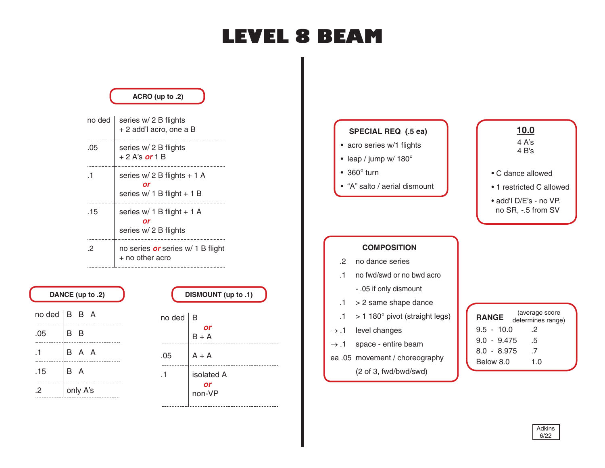# **LEVEL 8 BEAM**

|              | ACRO (up to .2)                                           |                                                              |                                                                         |
|--------------|-----------------------------------------------------------|--------------------------------------------------------------|-------------------------------------------------------------------------|
| no ded       | series w/ 2 B flights<br>+ 2 add'l acro, one a B          | <b>SPECIAL REQ (.5 ea)</b>                                   | 10.0                                                                    |
| .05          | series w/ 2 B flights<br>$+2$ A's or 1 B                  | • acro series w/1 flights<br>• leap / jump w/ $180^\circ$    | 4 A's<br>4 B's                                                          |
| .1           | series w/ 2 B flights + 1 A<br>series w/ 1 B flight + 1 B | $\cdot$ 360 $^{\circ}$ turn<br>• "A" salto / aerial dismount | • C dance allowed<br>• 1 restricted C allowed<br>• add'l D/E's - no VP. |
| .15          | series w/ 1 B flight + 1 A<br>or<br>series w/ 2 B flights |                                                              | no SR, -.5 from SV                                                      |
| .2           | no series <i>or</i> series w/ 1 B flight                  | <b>COMPOSITION</b>                                           |                                                                         |
|              | + no other acro                                           | no dance series<br>.2                                        |                                                                         |
|              |                                                           | no fwd/swd or no bwd acro<br>$\cdot$ 1                       |                                                                         |
| (2. L (up to | DISMOUNT (up to .1)                                       | - .05 if only dismount                                       |                                                                         |
|              |                                                           | > 2 same shape dance<br>.1                                   |                                                                         |
| B<br>A       | $no$ ded $ B$                                             | > 1 180° pivot (straight legs)<br>.1                         | (average score<br><b>RANGE</b><br>determines range)                     |
| R            | or                                                        | level changes<br>$\rightarrow .1$                            | $9.5 - 10.0$<br>.2                                                      |

 $\rightarrow$  .1 space - entire beam

ea .05 movement / choreography (2 of 3, fwd/bwd/swd)

| (2. DANCE (up to      |  |          |  |
|-----------------------|--|----------|--|
| $no$ ded $ B \ B \ A$ |  |          |  |
| .05                   |  | B B      |  |
| .1                    |  | B A A    |  |
| .15                   |  | B A      |  |
| 2                     |  | only A's |  |

| DISMOUNT (up to .1) |                            |  |  |  |
|---------------------|----------------------------|--|--|--|
| no ded $ B$         | or<br>$B + A$              |  |  |  |
| .05                 | $A + A$                    |  |  |  |
|                     | isolated A<br>or<br>non-VP |  |  |  |

| (average score<br><b>RANGE</b><br>determines range) |  |
|-----------------------------------------------------|--|
| $9.5 - 10.0$<br>.2                                  |  |
| $9.0 - 9.475$<br>.5                                 |  |
| $8.0 - 8.975$<br>-7                                 |  |
| Below 8.0<br>1 በ                                    |  |

### Adkins 6/22